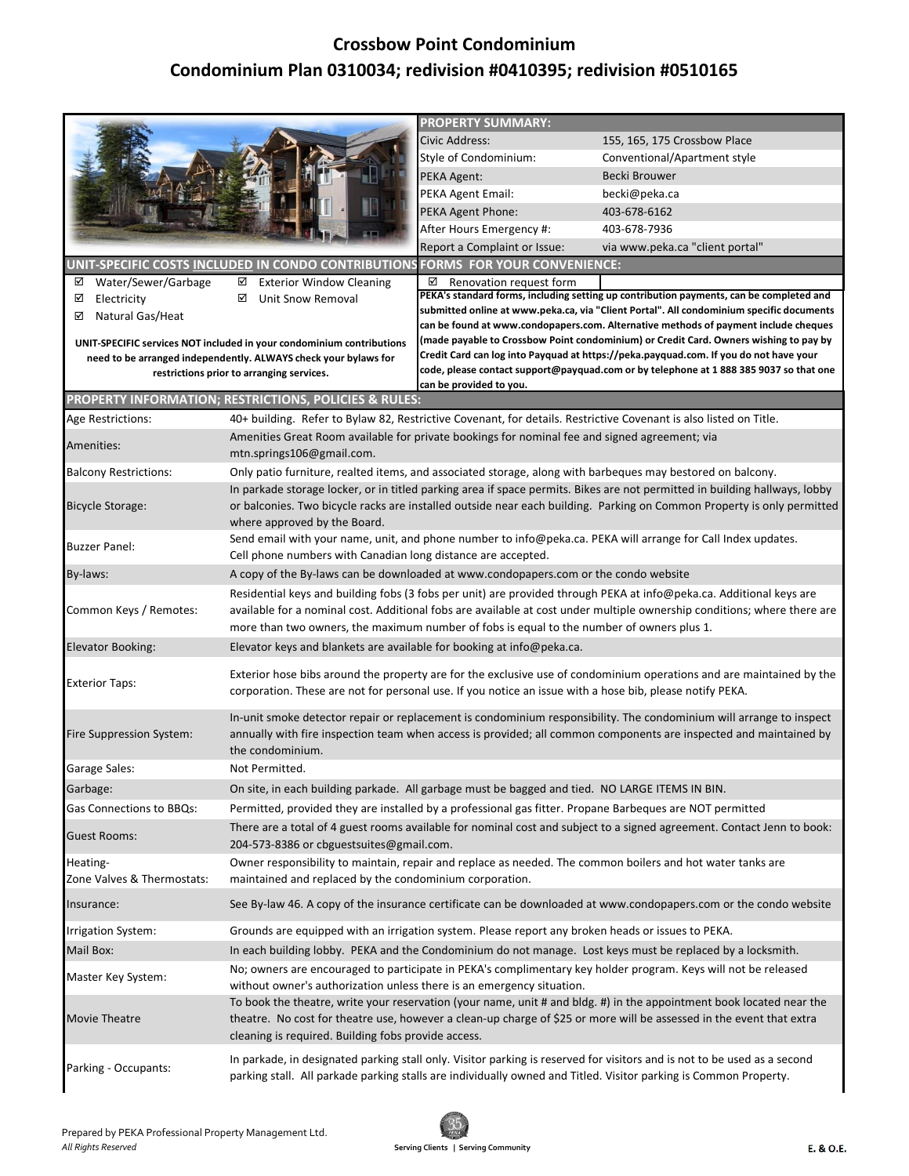## **Crossbow Point Condominium Condominium Plan 0310034; redivision #0410395; redivision #0510165**

|                                                                                                                                                                                                                                                           |                                                                                                                                                                              | <b>PROPERTY SUMMARY:</b>                                                                                                                                                       |                                                                                                                          |  |
|-----------------------------------------------------------------------------------------------------------------------------------------------------------------------------------------------------------------------------------------------------------|------------------------------------------------------------------------------------------------------------------------------------------------------------------------------|--------------------------------------------------------------------------------------------------------------------------------------------------------------------------------|--------------------------------------------------------------------------------------------------------------------------|--|
|                                                                                                                                                                                                                                                           |                                                                                                                                                                              | Civic Address:                                                                                                                                                                 | 155, 165, 175 Crossbow Place                                                                                             |  |
|                                                                                                                                                                                                                                                           |                                                                                                                                                                              | Style of Condominium:                                                                                                                                                          | Conventional/Apartment style                                                                                             |  |
|                                                                                                                                                                                                                                                           |                                                                                                                                                                              | PEKA Agent:                                                                                                                                                                    | Becki Brouwer                                                                                                            |  |
|                                                                                                                                                                                                                                                           |                                                                                                                                                                              | PEKA Agent Email:                                                                                                                                                              | becki@peka.ca                                                                                                            |  |
|                                                                                                                                                                                                                                                           |                                                                                                                                                                              | PEKA Agent Phone:                                                                                                                                                              | 403-678-6162                                                                                                             |  |
|                                                                                                                                                                                                                                                           |                                                                                                                                                                              | After Hours Emergency #:                                                                                                                                                       | 403-678-7936                                                                                                             |  |
|                                                                                                                                                                                                                                                           |                                                                                                                                                                              | Report a Complaint or Issue:                                                                                                                                                   | via www.peka.ca "client portal"                                                                                          |  |
|                                                                                                                                                                                                                                                           | UNIT-SPECIFIC COSTS INCLUDED IN CONDO CONTRIBUTIONS                                                                                                                          | <b>FORMS FOR YOUR CONVENIENCE:</b>                                                                                                                                             |                                                                                                                          |  |
| Water/Sewer/Garbage<br>☑                                                                                                                                                                                                                                  | <b>Exterior Window Cleaning</b><br>☑                                                                                                                                         | $\boxtimes$ Renovation request form                                                                                                                                            |                                                                                                                          |  |
| ☑<br>Electricity                                                                                                                                                                                                                                          | ☑<br>Unit Snow Removal                                                                                                                                                       |                                                                                                                                                                                | PEKA's standard forms, including setting up contribution payments, can be completed and                                  |  |
| Natural Gas/Heat<br>⊻                                                                                                                                                                                                                                     |                                                                                                                                                                              |                                                                                                                                                                                | submitted online at www.peka.ca, via "Client Portal". All condominium specific documents                                 |  |
|                                                                                                                                                                                                                                                           |                                                                                                                                                                              |                                                                                                                                                                                | can be found at www.condopapers.com. Alternative methods of payment include cheques                                      |  |
| UNIT-SPECIFIC services NOT included in your condominium contributions                                                                                                                                                                                     |                                                                                                                                                                              | (made payable to Crossbow Point condominium) or Credit Card. Owners wishing to pay by<br>Credit Card can log into Payquad at https://peka.payquad.com. If you do not have your |                                                                                                                          |  |
| need to be arranged independently. ALWAYS check your bylaws for<br>restrictions prior to arranging services.                                                                                                                                              |                                                                                                                                                                              | code, please contact support@payquad.com or by telephone at 1888 385 9037 so that one                                                                                          |                                                                                                                          |  |
|                                                                                                                                                                                                                                                           |                                                                                                                                                                              | can be provided to you.                                                                                                                                                        |                                                                                                                          |  |
|                                                                                                                                                                                                                                                           | PROPERTY INFORMATION; RESTRICTIONS, POLICIES & RULES:                                                                                                                        |                                                                                                                                                                                |                                                                                                                          |  |
| Age Restrictions:                                                                                                                                                                                                                                         | 40+ building. Refer to Bylaw 82, Restrictive Covenant, for details. Restrictive Covenant is also listed on Title.                                                            |                                                                                                                                                                                |                                                                                                                          |  |
| Amenities:                                                                                                                                                                                                                                                | Amenities Great Room available for private bookings for nominal fee and signed agreement; via                                                                                |                                                                                                                                                                                |                                                                                                                          |  |
|                                                                                                                                                                                                                                                           | mtn.springs106@gmail.com.                                                                                                                                                    |                                                                                                                                                                                |                                                                                                                          |  |
| <b>Balcony Restrictions:</b>                                                                                                                                                                                                                              | Only patio furniture, realted items, and associated storage, along with barbeques may bestored on balcony.                                                                   |                                                                                                                                                                                |                                                                                                                          |  |
|                                                                                                                                                                                                                                                           | In parkade storage locker, or in titled parking area if space permits. Bikes are not permitted in building hallways, lobby                                                   |                                                                                                                                                                                |                                                                                                                          |  |
| <b>Bicycle Storage:</b>                                                                                                                                                                                                                                   |                                                                                                                                                                              |                                                                                                                                                                                | or balconies. Two bicycle racks are installed outside near each building. Parking on Common Property is only permitted   |  |
|                                                                                                                                                                                                                                                           | where approved by the Board.                                                                                                                                                 |                                                                                                                                                                                |                                                                                                                          |  |
| <b>Buzzer Panel:</b>                                                                                                                                                                                                                                      | Send email with your name, unit, and phone number to info@peka.ca. PEKA will arrange for Call Index updates.<br>Cell phone numbers with Canadian long distance are accepted. |                                                                                                                                                                                |                                                                                                                          |  |
| By-laws:                                                                                                                                                                                                                                                  | A copy of the By-laws can be downloaded at www.condopapers.com or the condo website                                                                                          |                                                                                                                                                                                |                                                                                                                          |  |
|                                                                                                                                                                                                                                                           | Residential keys and building fobs (3 fobs per unit) are provided through PEKA at info@peka.ca. Additional keys are                                                          |                                                                                                                                                                                |                                                                                                                          |  |
| available for a nominal cost. Additional fobs are available at cost under multiple ownership conditions; where there are<br>Common Keys / Remotes:                                                                                                        |                                                                                                                                                                              |                                                                                                                                                                                |                                                                                                                          |  |
|                                                                                                                                                                                                                                                           | more than two owners, the maximum number of fobs is equal to the number of owners plus 1.                                                                                    |                                                                                                                                                                                |                                                                                                                          |  |
| Elevator Booking:                                                                                                                                                                                                                                         | Elevator keys and blankets are available for booking at info@peka.ca.                                                                                                        |                                                                                                                                                                                |                                                                                                                          |  |
|                                                                                                                                                                                                                                                           |                                                                                                                                                                              |                                                                                                                                                                                |                                                                                                                          |  |
| Exterior hose bibs around the property are for the exclusive use of condominium operations and are maintained by the<br><b>Exterior Taps:</b><br>corporation. These are not for personal use. If you notice an issue with a hose bib, please notify PEKA. |                                                                                                                                                                              |                                                                                                                                                                                |                                                                                                                          |  |
|                                                                                                                                                                                                                                                           |                                                                                                                                                                              |                                                                                                                                                                                |                                                                                                                          |  |
|                                                                                                                                                                                                                                                           |                                                                                                                                                                              |                                                                                                                                                                                | In-unit smoke detector repair or replacement is condominium responsibility. The condominium will arrange to inspect      |  |
| Fire Suppression System:                                                                                                                                                                                                                                  |                                                                                                                                                                              |                                                                                                                                                                                | annually with fire inspection team when access is provided; all common components are inspected and maintained by        |  |
|                                                                                                                                                                                                                                                           | the condominium.                                                                                                                                                             |                                                                                                                                                                                |                                                                                                                          |  |
| Garage Sales:                                                                                                                                                                                                                                             | Not Permitted.                                                                                                                                                               |                                                                                                                                                                                |                                                                                                                          |  |
| Garbage:                                                                                                                                                                                                                                                  | On site, in each building parkade. All garbage must be bagged and tied. NO LARGE ITEMS IN BIN.                                                                               |                                                                                                                                                                                |                                                                                                                          |  |
| Gas Connections to BBQs:                                                                                                                                                                                                                                  | Permitted, provided they are installed by a professional gas fitter. Propane Barbeques are NOT permitted                                                                     |                                                                                                                                                                                |                                                                                                                          |  |
| Guest Rooms:                                                                                                                                                                                                                                              | There are a total of 4 guest rooms available for nominal cost and subject to a signed agreement. Contact Jenn to book:                                                       |                                                                                                                                                                                |                                                                                                                          |  |
|                                                                                                                                                                                                                                                           | 204-573-8386 or cbguestsuites@gmail.com.                                                                                                                                     |                                                                                                                                                                                |                                                                                                                          |  |
| Heating-                                                                                                                                                                                                                                                  | Owner responsibility to maintain, repair and replace as needed. The common boilers and hot water tanks are                                                                   |                                                                                                                                                                                |                                                                                                                          |  |
| Zone Valves & Thermostats:                                                                                                                                                                                                                                | maintained and replaced by the condominium corporation.                                                                                                                      |                                                                                                                                                                                |                                                                                                                          |  |
| Insurance:                                                                                                                                                                                                                                                | See By-law 46. A copy of the insurance certificate can be downloaded at www.condopapers.com or the condo website                                                             |                                                                                                                                                                                |                                                                                                                          |  |
| Irrigation System:                                                                                                                                                                                                                                        | Grounds are equipped with an irrigation system. Please report any broken heads or issues to PEKA.                                                                            |                                                                                                                                                                                |                                                                                                                          |  |
| Mail Box:                                                                                                                                                                                                                                                 | In each building lobby. PEKA and the Condominium do not manage. Lost keys must be replaced by a locksmith.                                                                   |                                                                                                                                                                                |                                                                                                                          |  |
|                                                                                                                                                                                                                                                           | No; owners are encouraged to participate in PEKA's complimentary key holder program. Keys will not be released                                                               |                                                                                                                                                                                |                                                                                                                          |  |
|                                                                                                                                                                                                                                                           | Master Key System:<br>without owner's authorization unless there is an emergency situation.                                                                                  |                                                                                                                                                                                |                                                                                                                          |  |
|                                                                                                                                                                                                                                                           |                                                                                                                                                                              |                                                                                                                                                                                | To book the theatre, write your reservation (your name, unit # and bldg. #) in the appointment book located near the     |  |
| Movie Theatre                                                                                                                                                                                                                                             |                                                                                                                                                                              |                                                                                                                                                                                | theatre. No cost for theatre use, however a clean-up charge of \$25 or more will be assessed in the event that extra     |  |
|                                                                                                                                                                                                                                                           | cleaning is required. Building fobs provide access.                                                                                                                          |                                                                                                                                                                                |                                                                                                                          |  |
|                                                                                                                                                                                                                                                           |                                                                                                                                                                              |                                                                                                                                                                                | In parkade, in designated parking stall only. Visitor parking is reserved for visitors and is not to be used as a second |  |
| Parking - Occupants:                                                                                                                                                                                                                                      |                                                                                                                                                                              |                                                                                                                                                                                | parking stall. All parkade parking stalls are individually owned and Titled. Visitor parking is Common Property.         |  |
|                                                                                                                                                                                                                                                           |                                                                                                                                                                              |                                                                                                                                                                                |                                                                                                                          |  |